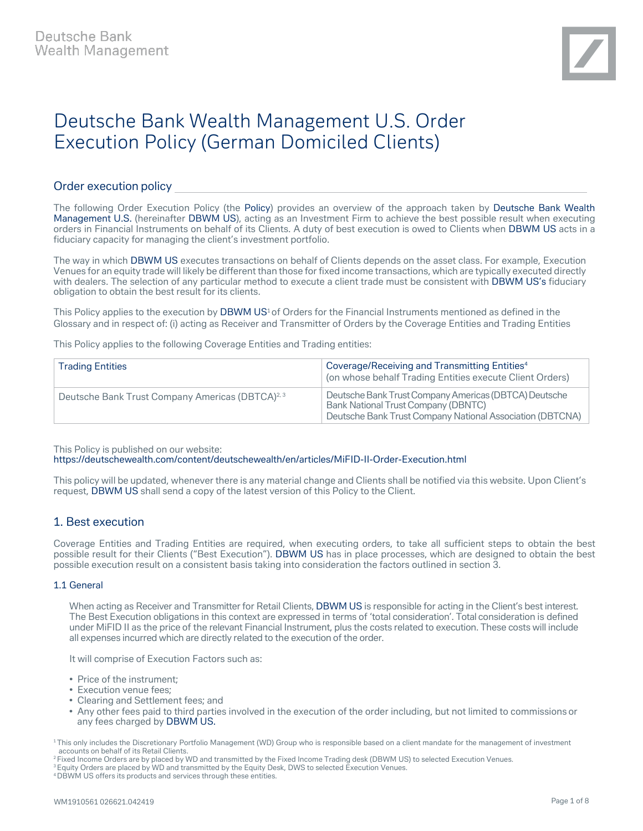# Deutsche Bank Wealth Management U.S. Order Execution Policy (German Domiciled Clients)

# Order execution policy

The following Order Execution Policy (the Policy) provides an overview of the approach taken by Deutsche Bank Wealth Management U.S. (hereinafter DBWM US), acting as an Investment Firm to achieve the best possible result when executing orders in Financial Instruments on behalf of its Clients. A duty of best execution is owed to Clients when DBWM US acts in a fiduciary capacity for managing the client's investment portfolio.

The way in which DBWM US executes transactions on behalf of Clients depends on the asset class. For example, Execution Venues for an equity trade will likely be different than those for fixed income transactions, which are typically executed directly with dealers. The selection of any particular method to execute a client trade must be consistent with DBWM US's fiduciary obligation to obtain the best result for its clients.

This Policy applies to the execution by DBWM US<sup>1</sup> of Orders for the Financial Instruments mentioned as defined in the Glossary and in respect of: (i) acting as Receiver and Transmitter of Orders by the Coverage Entities and Trading Entities

This Policy applies to the following Coverage Entities and Trading entities:

| <b>Trading Entities</b>                                      | Coverage/Receiving and Transmitting Entities <sup>4</sup><br>(on whose behalf Trading Entities execute Client Orders)                                            |
|--------------------------------------------------------------|------------------------------------------------------------------------------------------------------------------------------------------------------------------|
| Deutsche Bank Trust Company Americas (DBTCA) <sup>2, 3</sup> | Deutsche Bank Trust Company Americas (DBTCA) Deutsche<br><b>Bank National Trust Company (DBNTC)</b><br>Deutsche Bank Trust Company National Association (DBTCNA) |

This Policy is published on our website:

<https://deutschewealth.com/content/deutschewealth/en/articles/MiFID-II-Order-Execution.html>

This policy will be updated, whenever there is any material change and Clients shall be notified via this website. Upon Client's request, DBWM US shall send a copy of the latest version of this Policy to the Client.

# 1. Best execution

Coverage Entities and Trading Entities are required, when executing orders, to take all sufficient steps to obtain the best possible result for their Clients ("Best Execution"). DBWM US has in place processes, which are designed to obtain the best possible execution result on a consistent basis taking into consideration the factors outlined in section 3.

#### 1.1 General

When acting as Receiver and Transmitter for Retail Clients, DBWM US is responsible for acting in the Client's best interest. The Best Execution obligations in this context are expressed in terms of 'total consideration'. Total consideration is defined under MiFID II as the price of the relevant Financial Instrument, plus the costs related to execution. These costs will include all expenses incurred which are directly related to the execution of the order.

It will comprise of Execution Factors such as:

- Price of the instrument;
- Execution venue fees;
- Clearing and Settlement fees; and
- Any other fees paid to third parties involved in the execution of the order including, but not limited to commissions or any fees charged by DBWM US.

4 DBWM US offers its products and services through these entities.

<sup>1</sup> This only includes the Discretionary Portfolio Management (WD) Group who is responsible based on a client mandate for the management of investment accounts on behalf of its Retail Clients.

<sup>2</sup> Fixed Income Orders are by placed by WD and transmitted by the Fixed Income Trading desk (DBWM US) to selected Execution Venues.

<sup>&</sup>lt;sup>3</sup> Equity Orders are placed by WD and transmitted by the Equity Desk, DWS to selected Execution Venues.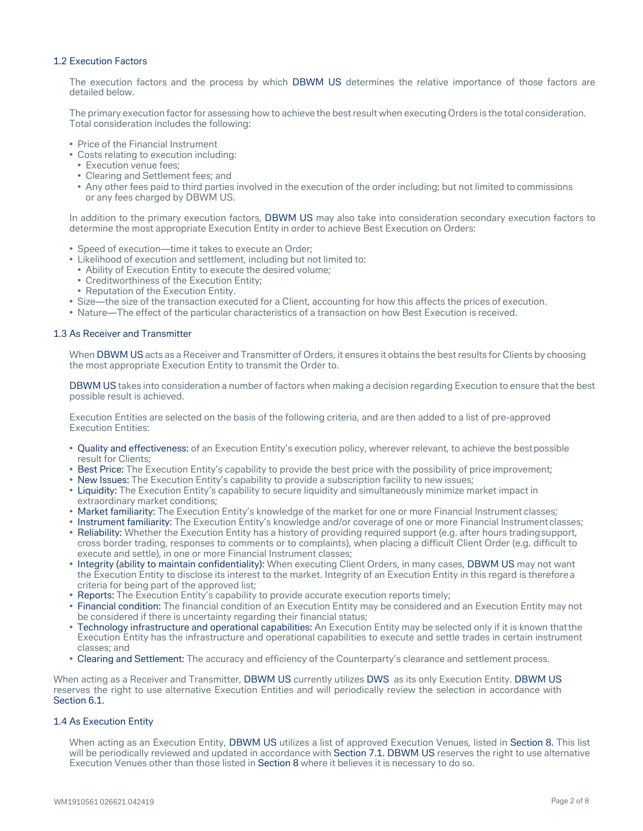## 1.2 Execution Factors

The execution factors and the process by which DBWM US determines the relative importance of those factors are detailed below.

The primary execution factor for assessing how to achieve the best result when executing Orders is the total consideration. Total consideration includes the following:

- Price of the Financial Instrument
- Costs relating to execution including:
- Execution venue fees;
- Clearing and Settlement fees; and
- Any other fees paid to third parties involved in the execution of the order including; but not limited to commissions or any fees charged by DBWM US.

In addition to the primary execution factors, DBWM US may also take into consideration secondary execution factors to determine the most appropriate Execution Entity in order to achieve Best Execution on Orders:

- Speed of execution—time it takes to execute an Order;
- Likelihood of execution and settlement, including but not limited to:
	- Ability of Execution Entity to execute the desired volume;
	- Creditworthiness of the Execution Entity;
	- Reputation of the Execution Entity.
- Size—the size of the transaction executed for a Client, accounting for how this affects the prices of execution.
- Nature—The effect of the particular characteristics of a transaction on how Best Execution is received.

#### 1.3 As Receiver and Transmitter

When DBWM US acts as a Receiver and Transmitter of Orders, it ensures it obtains the best results for Clients by choosing the most appropriate Execution Entity to transmit the Order to.

DBWM US takes into consideration a number of factors when making a decision regarding Execution to ensure that the best possible result is achieved.

Execution Entities are selected on the basis of the following criteria, and are then added to a list of pre-approved Execution Entities:

- Quality and effectiveness: of an Execution Entity's execution policy, wherever relevant, to achieve the bestpossible result for Clients;
- Best Price: The Execution Entity's capability to provide the best price with the possibility of price improvement;
- New Issues: The Execution Entity's capability to provide a subscription facility to new issues; • Liquidity: The Execution Entity's capability to secure liquidity and simultaneously minimize market impact in
- extraordinary market conditions;
- Market familiarity: The Execution Entity's knowledge of the market for one or more Financial Instrument classes; • Instrument familiarity: The Execution Entity's knowledge and/or coverage of one or more Financial Instrumentclasses;
- Reliability: Whether the Execution Entity has a history of providing required support (e.g. after hours tradingsupport, cross border trading, responses to comments or to complaints), when placing a difficult Client Order (e.g. difficult to execute and settle), in one or more Financial Instrument classes;
- Integrity (ability to maintain confidentiality): When executing Client Orders, in many cases, DBWM US may not want the Execution Entity to disclose its interest to the market. Integrity of an Execution Entity in this regard is therefore a criteria for being part of the approved list;
- Reports: The Execution Entity's capability to provide accurate execution reports timely;
- Financial condition: The financial condition of an Execution Entity may be considered and an Execution Entity may not be considered if there is uncertainty regarding their financial status;
- Technology infrastructure and operational capabilities: An Execution Entity may be selected only if it is known thatthe Execution Entity has the infrastructure and operational capabilities to execute and settle trades in certain instrument classes; and
- Clearing and Settlement: The accuracy and efficiency of the Counterparty's clearance and settlement process.

When acting as a Receiver and Transmitter, DBWM US currently utilizes DWS as its only Execution Entity. DBWM US reserves the right to use alternative Execution Entities and will periodically review the selection in accordance with Section 6.1.

## 1.4 As Execution Entity

When acting as an Execution Entity, DBWM US utilizes a list of approved Execution Venues, listed in Section 8. This list will be periodically reviewed and updated in accordance with Section 7.1. DBWM US reserves the right to use alternative Execution Venues other than those listed in Section 8 where it believes it is necessary to do so.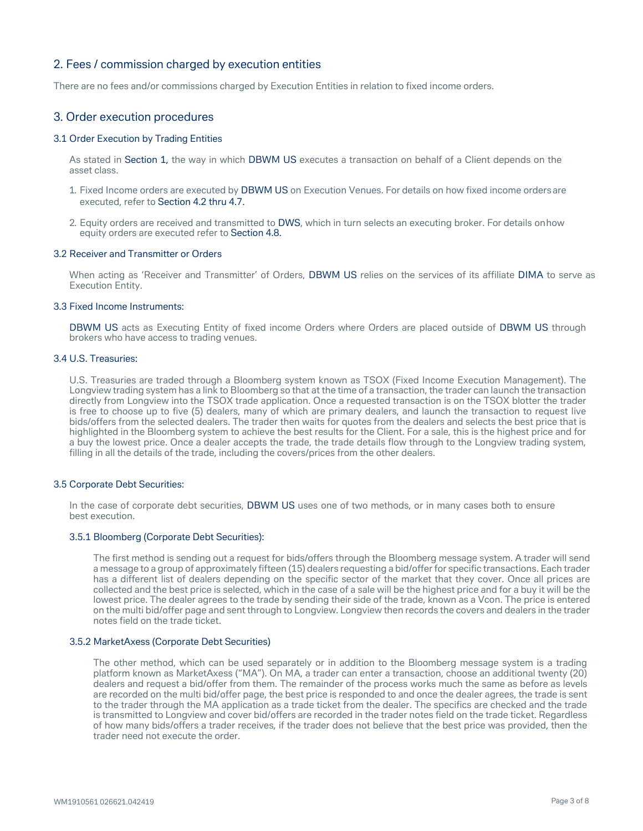# 2. Fees / commission charged by execution entities

There are no fees and/or commissions charged by Execution Entities in relation to fixed income orders.

# 3. Order execution procedures

## 3.1 Order Execution by Trading Entities

As stated in Section 1, the way in which DBWM US executes a transaction on behalf of a Client depends on the asset class.

- 1. Fixed Income orders are executed by DBWM US on Execution Venues. For details on how fixed income ordersare executed, refer to Section 4.2 thru 4.7.
- 2. Equity orders are received and transmitted to DWS, which in turn selects an executing broker. For details onhow equity orders are executed refer to Section 4.8.

#### 3.2 Receiver and Transmitter or Orders

When acting as 'Receiver and Transmitter' of Orders, DBWM US relies on the services of its affiliate DIMA to serve as Execution Entity.

#### 3.3 Fixed Income Instruments:

DBWM US acts as Executing Entity of fixed income Orders where Orders are placed outside of DBWM US through brokers who have access to trading venues.

# 3.4 U.S. Treasuries:

U.S. Treasuries are traded through a Bloomberg system known as TSOX (Fixed Income Execution Management). The Longview trading system has a link to Bloomberg so that at the time of a transaction, the trader can launch the transaction directly from Longview into the TSOX trade application. Once a requested transaction is on the TSOX blotter the trader is free to choose up to five (5) dealers, many of which are primary dealers, and launch the transaction to request live bids/offers from the selected dealers. The trader then waits for quotes from the dealers and selects the best price that is highlighted in the Bloomberg system to achieve the best results for the Client. For a sale, this is the highest price and for a buy the lowest price. Once a dealer accepts the trade, the trade details flow through to the Longview trading system, filling in all the details of the trade, including the covers/prices from the other dealers.

#### 3.5 Corporate Debt Securities:

In the case of corporate debt securities, DBWM US uses one of two methods, or in many cases both to ensure best execution.

#### 3.5.1 Bloomberg (Corporate Debt Securities):

The first method is sending out a request for bids/offers through the Bloomberg message system. A trader will send a message to a group of approximately fifteen (15) dealers requesting a bid/offer for specific transactions. Each trader has a different list of dealers depending on the specific sector of the market that they cover. Once all prices are collected and the best price is selected, which in the case of a sale will be the highest price and for a buy it will be the lowest price. The dealer agrees to the trade by sending their side of the trade, known as a Vcon. The price is entered on the multi bid/offer page and sent through to Longview. Longview then records the covers and dealers in the trader notes field on the trade ticket.

#### 3.5.2 MarketAxess (Corporate Debt Securities)

The other method, which can be used separately or in addition to the Bloomberg message system is a trading platform known as MarketAxess ("MA"). On MA, a trader can enter a transaction, choose an additional twenty (20) dealers and request a bid/offer from them. The remainder of the process works much the same as before as levels are recorded on the multi bid/offer page, the best price is responded to and once the dealer agrees, the trade is sent to the trader through the MA application as a trade ticket from the dealer. The specifics are checked and the trade is transmitted to Longview and cover bid/offers are recorded in the trader notes field on the trade ticket. Regardless of how many bids/offers a trader receives, if the trader does not believe that the best price was provided, then the trader need not execute the order.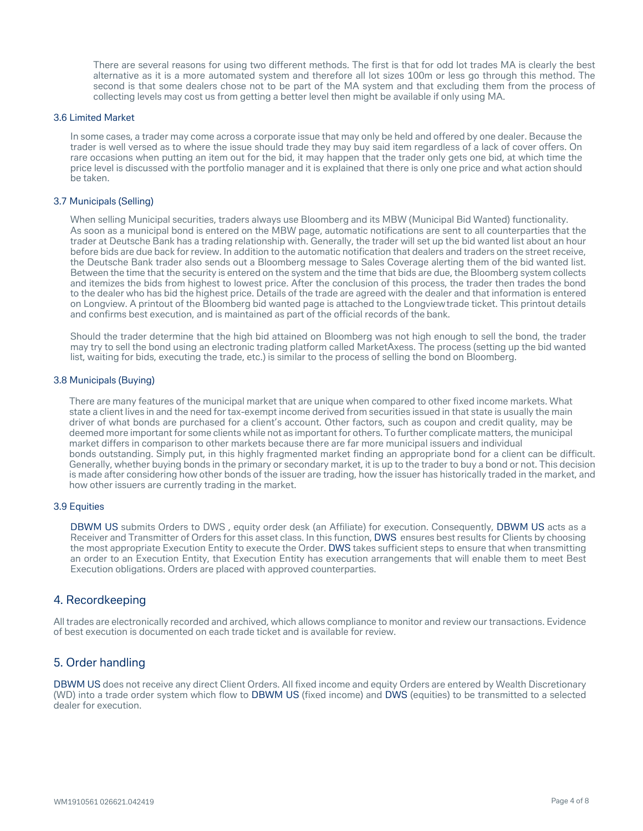There are several reasons for using two different methods. The first is that for odd lot trades MA is clearly the best alternative as it is a more automated system and therefore all lot sizes 100m or less go through this method. The second is that some dealers chose not to be part of the MA system and that excluding them from the process of collecting levels may cost us from getting a better level then might be available if only using MA.

#### 3.6 Limited Market

In some cases, a trader may come across a corporate issue that may only be held and offered by one dealer. Because the trader is well versed as to where the issue should trade they may buy said item regardless of a lack of cover offers. On rare occasions when putting an item out for the bid, it may happen that the trader only gets one bid, at which time the price level is discussed with the portfolio manager and it is explained that there is only one price and what action should be taken.

#### 3.7 Municipals (Selling)

When selling Municipal securities, traders always use Bloomberg and its MBW (Municipal Bid Wanted) functionality. As soon as a municipal bond is entered on the MBW page, automatic notifications are sent to all counterparties that the trader at Deutsche Bank has a trading relationship with. Generally, the trader will set up the bid wanted list about an hour before bids are due back for review. In addition to the automatic notification that dealers and traders on the street receive, the Deutsche Bank trader also sends out a Bloomberg message to Sales Coverage alerting them of the bid wanted list. Between the time that the security is entered on the system and the time that bids are due, the Bloomberg system collects and itemizes the bids from highest to lowest price. After the conclusion of this process, the trader then trades the bond to the dealer who has bid the highest price. Details of the trade are agreed with the dealer and that information is entered on Longview. A printout of the Bloomberg bid wanted page is attached to the Longviewtrade ticket. This printout details and confirms best execution, and is maintained as part of the official records of the bank.

Should the trader determine that the high bid attained on Bloomberg was not high enough to sell the bond, the trader may try to sell the bond using an electronic trading platform called MarketAxess. The process (setting up the bid wanted list, waiting for bids, executing the trade, etc.) is similar to the process of selling the bond on Bloomberg.

#### 3.8 Municipals (Buying)

There are many features of the municipal market that are unique when compared to other fixed income markets. What state a client lives in and the need for tax-exempt income derived from securities issued in that state is usually the main driver of what bonds are purchased for a client's account. Other factors, such as coupon and credit quality, may be deemed more important for some clients while not as important for others. To further complicate matters, the municipal market differs in comparison to other markets because there are far more municipal issuers and individual bonds outstanding. Simply put, in this highly fragmented market finding an appropriate bond for a client can be difficult. Generally, whether buying bonds in the primary or secondary market, it is up to the trader to buy a bond or not. This decision is made after considering how other bonds of the issuer are trading, how the issuer has historically traded in the market, and how other issuers are currently trading in the market.

#### 3.9 Equities

DBWM US submits Orders to DWS , equity order desk (an Affiliate) for execution. Consequently, DBWM US acts as a Receiver and Transmitter of Orders for this asset class. In this function, DWS ensures best results for Clients by choosing the most appropriate Execution Entity to execute the Order. DWS takes sufficient steps to ensure that when transmitting an order to an Execution Entity, that Execution Entity has execution arrangements that will enable them to meet Best Execution obligations. Orders are placed with approved counterparties.

## 4. Recordkeeping

All trades are electronically recorded and archived, which allows compliance to monitor and review our transactions. Evidence of best execution is documented on each trade ticket and is available for review.

## 5. Order handling

DBWM US does not receive any direct Client Orders. All fixed income and equity Orders are entered by Wealth Discretionary (WD) into a trade order system which flow to DBWM US (fixed income) and DWS (equities) to be transmitted to a selected dealer for execution.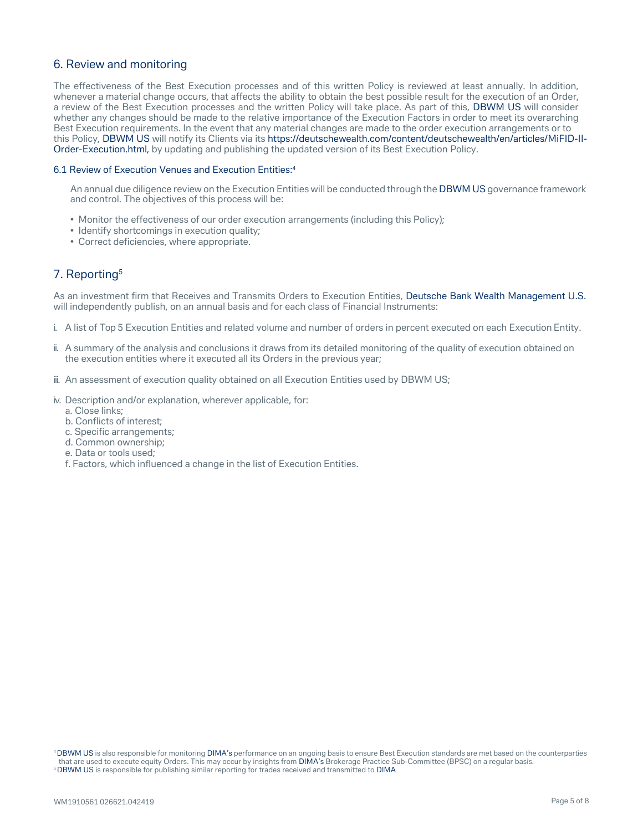# 6. Review and monitoring

The effectiveness of the Best Execution processes and of this written Policy is reviewed at least annually. In addition, whenever a material change occurs, that affects the ability to obtain the best possible result for the execution of an Order, a review of the Best Execution processes and the written Policy will take place. As part of this, DBWM US will consider whether any changes should be made to the relative importance of the Execution Factors in order to meet its overarching Best Execution requirements. In the event that any material changes are made to the order execution arrangements or to this Policy, DBWM US will notify its Clients via its [https://deutschewealth.com/content/deutschewealth/en/articles/MiFID-II-](https://deutschewealth.com/content/deutschewealth/en/articles/MiFID-II-Order-Execution.html)[Order-Execution.html,](https://deutschewealth.com/content/deutschewealth/en/articles/MiFID-II-Order-Execution.html) by updating and publishing the updated version of its Best Execution Policy.

#### 6.1 Review of Execution Venues and Execution Entities:4

An annual due diligence review on the Execution Entities will be conducted through the DBWM US governance framework and control. The objectives of this process will be:

- Monitor the effectiveness of our order execution arrangements (including this Policy);
- Identify shortcomings in execution quality;
- Correct deficiencies, where appropriate.

# 7. Reporting<sup>5</sup>

As an investment firm that Receives and Transmits Orders to Execution Entities, Deutsche Bank Wealth Management U.S. will independently publish, on an annual basis and for each class of Financial Instruments:

- i. A list of Top 5 Execution Entities and related volume and number of orders in percent executed on each Execution Entity.
- ii. A summary of the analysis and conclusions it draws from its detailed monitoring of the quality of execution obtained on the execution entities where it executed all its Orders in the previous year;
- iii. An assessment of execution quality obtained on all Execution Entities used by DBWM US;
- iv. Description and/or explanation, wherever applicable, for:
	- a. Close links;
	- b. Conflicts of interest;
	- c. Specific arrangements;
	- d. Common ownership;
	- e. Data or tools used;
	- f. Factors, which influenced a change in the list of Execution Entities.

4 DBWM US is also responsible for monitoring DIMA's performance on an ongoing basis to ensure Best Execution standards are met based on the counterparties that are used to execute equity Orders. This may occur by insights from DIMA's Brokerage Practice Sub-Committee (BPSC) on a regular basis. <sup>5</sup> DBWM US is responsible for publishing similar reporting for trades received and transmitted to DIMA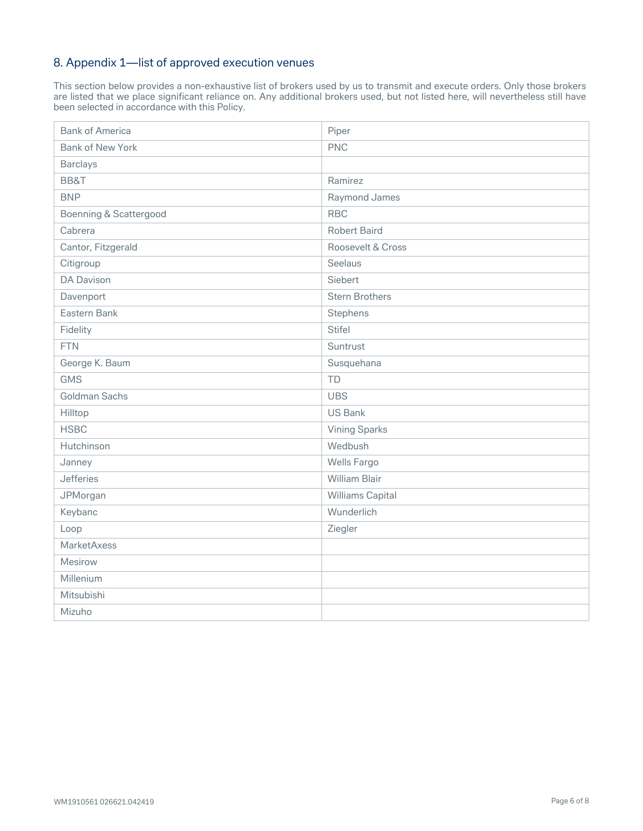# 8. Appendix 1—list of approved execution venues

This section below provides a non-exhaustive list of brokers used by us to transmit and execute orders. Only those brokers are listed that we place significant reliance on. Any additional brokers used, but not listed here, will nevertheless still have been selected in accordance with this Policy.

| <b>Bank of America</b>  | Piper                 |
|-------------------------|-----------------------|
| <b>Bank of New York</b> | <b>PNC</b>            |
| <b>Barclays</b>         |                       |
| BB&T                    | Ramirez               |
| <b>BNP</b>              | Raymond James         |
| Boenning & Scattergood  | <b>RBC</b>            |
| Cabrera                 | <b>Robert Baird</b>   |
| Cantor, Fitzgerald      | Roosevelt & Cross     |
| Citigroup               | Seelaus               |
| <b>DA Davison</b>       | Siebert               |
| Davenport               | <b>Stern Brothers</b> |
| Eastern Bank            | Stephens              |
| Fidelity                | Stifel                |
| <b>FTN</b>              | Suntrust              |
| George K. Baum          | Susquehana            |
| <b>GMS</b>              | <b>TD</b>             |
| Goldman Sachs           | <b>UBS</b>            |
| Hilltop                 | <b>US Bank</b>        |
| <b>HSBC</b>             | <b>Vining Sparks</b>  |
| Hutchinson              | Wedbush               |
| Janney                  | Wells Fargo           |
| Jefferies               | <b>William Blair</b>  |
| JPMorgan                | Williams Capital      |
| Keybanc                 | Wunderlich            |
| Loop                    | Ziegler               |
| MarketAxess             |                       |
| Mesirow                 |                       |
| Millenium               |                       |
| Mitsubishi              |                       |
| Mizuho                  |                       |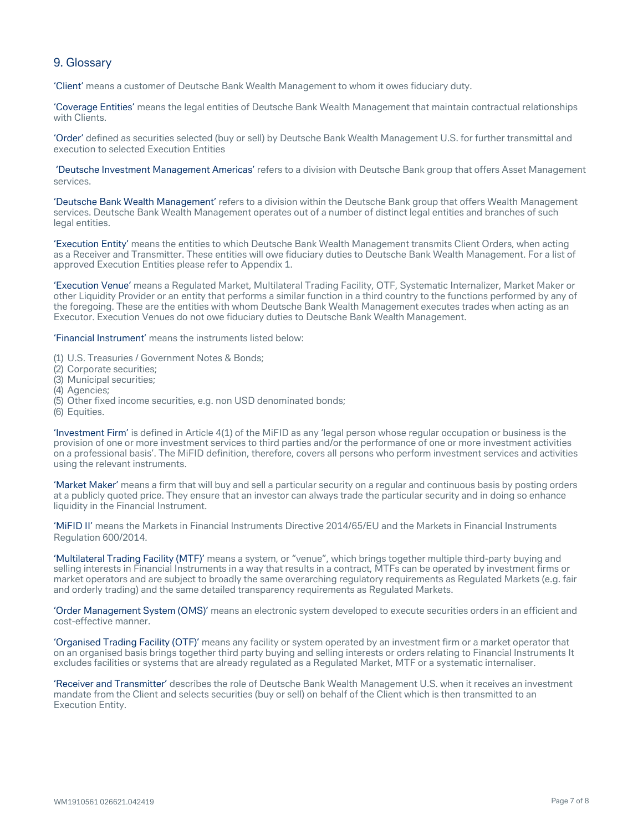# 9. Glossary

'Client' means a customer of Deutsche Bank Wealth Management to whom it owes fiduciary duty.

'Coverage Entities' means the legal entities of Deutsche Bank Wealth Management that maintain contractual relationships with Clients.

'Order' defined as securities selected (buy or sell) by Deutsche Bank Wealth Management U.S. for further transmittal and execution to selected Execution Entities

'Deutsche Investment Management Americas' refers to a division with Deutsche Bank group that offers Asset Management services.

'Deutsche Bank Wealth Management' refers to a division within the Deutsche Bank group that offers Wealth Management services. Deutsche Bank Wealth Management operates out of a number of distinct legal entities and branches of such legal entities.

'Execution Entity' means the entities to which Deutsche Bank Wealth Management transmits Client Orders, when acting as a Receiver and Transmitter. These entities will owe fiduciary duties to Deutsche Bank Wealth Management. For a list of approved Execution Entities please refer to Appendix 1.

'Execution Venue' means a Regulated Market, Multilateral Trading Facility, OTF, Systematic Internalizer, Market Maker or other Liquidity Provider or an entity that performs a similar function in a third country to the functions performed by any of the foregoing. These are the entities with whom Deutsche Bank Wealth Management executes trades when acting as an Executor. Execution Venues do not owe fiduciary duties to Deutsche Bank Wealth Management.

'Financial Instrument' means the instruments listed below:

- (1) U.S. Treasuries / Government Notes & Bonds;
- (2) Corporate securities;
- (3) Municipal securities;
- (4) Agencies;
- (5) Other fixed income securities, e.g. non USD denominated bonds;
- (6) Equities.

'Investment Firm' is defined in Article 4(1) of the MiFID as any 'legal person whose regular occupation or business is the provision of one or more investment services to third parties and/or the performance of one or more investment activities on a professional basis'. The MiFID definition, therefore, covers all persons who perform investment services and activities using the relevant instruments.

'Market Maker' means a firm that will buy and sell a particular security on a regular and continuous basis by posting orders at a publicly quoted price. They ensure that an investor can always trade the particular security and in doing so enhance liquidity in the Financial Instrument.

'MiFID II' means the Markets in Financial Instruments Directive 2014/65/EU and the Markets in Financial Instruments Regulation 600/2014.

'Multilateral Trading Facility (MTF)' means a system, or "venue", which brings together multiple third-party buying and selling interests in Financial Instruments in a way that results in a contract, MTFs can be operated by investment firms or market operators and are subject to broadly the same overarching regulatory requirements as Regulated Markets (e.g. fair and orderly trading) and the same detailed transparency requirements as Regulated Markets.

'Order Management System (OMS)' means an electronic system developed to execute securities orders in an efficient and cost-effective manner.

'Organised Trading Facility (OTF)' means any facility or system operated by an investment firm or a market operator that on an organised basis brings together third party buying and selling interests or orders relating to Financial Instruments It excludes facilities or systems that are already regulated as a Regulated Market, MTF or a systematic internaliser.

'Receiver and Transmitter' describes the role of Deutsche Bank Wealth Management U.S. when it receives an investment mandate from the Client and selects securities (buy or sell) on behalf of the Client which is then transmitted to an Execution Entity.